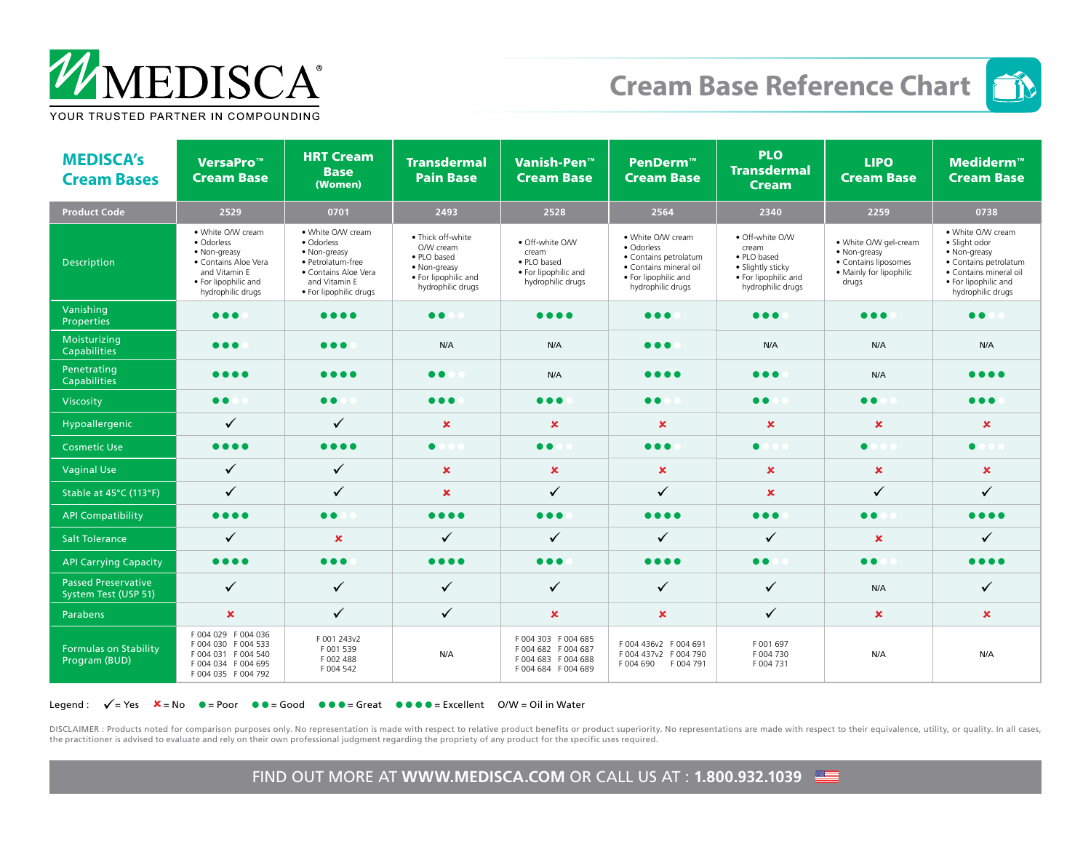

## **Cream Base Reference Chart**



| <b>MEDISCA's</b><br><b>Cream Bases</b>             | VersaPro <sup>™</sup><br><b>Cream Base</b>                                                                                            | <b>HRT Cream</b><br><b>Base</b><br>(Women)                                                                                              | <b>Transdermal</b><br><b>Pain Base</b>                                                                     | Vanish-Pen™<br><b>Cream Base</b>                                                     | PenDerm™<br><b>Cream Base</b>                                                                                                   | <b>PLO</b><br><b>Transdermal</b><br><b>Cream</b>                                                          | <b>LIPO</b><br><b>Cream Base</b>                                                                  | <b>Mediderm™</b><br><b>Cream Base</b>                                                                                                              |
|----------------------------------------------------|---------------------------------------------------------------------------------------------------------------------------------------|-----------------------------------------------------------------------------------------------------------------------------------------|------------------------------------------------------------------------------------------------------------|--------------------------------------------------------------------------------------|---------------------------------------------------------------------------------------------------------------------------------|-----------------------------------------------------------------------------------------------------------|---------------------------------------------------------------------------------------------------|----------------------------------------------------------------------------------------------------------------------------------------------------|
| <b>Product Code</b>                                | 2529                                                                                                                                  | 0701                                                                                                                                    | 2493                                                                                                       | 2528                                                                                 | 2564                                                                                                                            | 2340                                                                                                      | 2259                                                                                              | 0738                                                                                                                                               |
| <b>Description</b>                                 | • White O/W cream<br>· Odorless<br>• Non-greasy<br>• Contains Aloe Vera<br>and Vitamin E<br>• For lipophilic and<br>hydrophilic drugs | • White O/W cream<br>· Odorless<br>• Non-greasy<br>· Petrolatum-free<br>• Contains Aloe Vera<br>and Vitamin E<br>· For lipophilic drugs | · Thick off-white<br>O/W cream<br>• PLO based<br>• Non-greasy<br>• For lipophilic and<br>hydrophilic drugs | · Off-white O/W<br>cream<br>· PLO based<br>• For lipophilic and<br>hydrophilic drugs | • White O/W cream<br>· Odorless<br>• Contains petrolatum<br>· Contains mineral oil<br>• For lipophilic and<br>hydrophilic drugs | · Off-white O/W<br>cream<br>· PLO based<br>· Slightly sticky<br>· For lipophilic and<br>hydrophilic drugs | • White O/W gel-cream<br>• Non-greasy<br>• Contains liposomes<br>· Mainly for lipophilic<br>drugs | • White O/W cream<br>· Slight odor<br>• Non-greasy<br>· Contains petrolatum<br>· Contains mineral oil<br>• For lipophilic and<br>hydrophilic drugs |
| Vanishing<br><b>Properties</b>                     | $\bullet\bullet\bullet$                                                                                                               | $\bullet\bullet\bullet\bullet$                                                                                                          | $\bullet$                                                                                                  | $\bullet\bullet\bullet\bullet$                                                       | $\bullet\bullet\bullet$                                                                                                         | $\bullet\bullet\bullet$                                                                                   | $\bullet\bullet\bullet$                                                                           | $\bullet$                                                                                                                                          |
| Moisturizing<br><b>Capabilities</b>                | $\bullet\bullet\bullet$                                                                                                               | $\bullet\bullet\bullet$                                                                                                                 | N/A                                                                                                        | N/A                                                                                  | $\bullet\bullet\bullet$                                                                                                         | N/A                                                                                                       | N/A                                                                                               | N/A                                                                                                                                                |
| Penetrating<br>Capabilities                        | $\bullet\bullet\bullet\bullet$                                                                                                        | $\bullet\bullet\bullet\bullet$                                                                                                          | $\bullet$                                                                                                  | N/A                                                                                  | $\bullet\bullet\bullet\bullet$                                                                                                  | $\bullet\bullet\bullet$                                                                                   | N/A                                                                                               | $\bullet\bullet\bullet\bullet$                                                                                                                     |
| Viscosity                                          | $\bullet$                                                                                                                             | $\bullet$                                                                                                                               | $\bullet\bullet\bullet$                                                                                    | $\bullet\bullet\bullet$                                                              | $\bullet$                                                                                                                       | $\bullet$                                                                                                 | $\bullet$                                                                                         | $\bullet\bullet\bullet$                                                                                                                            |
| Hypoallergenic                                     | ✓                                                                                                                                     | ✓                                                                                                                                       | $\mathbf x$                                                                                                | $\mathbf x$                                                                          | $\mathbf x$                                                                                                                     | $\mathbf x$                                                                                               | $\boldsymbol{\mathsf{x}}$                                                                         | $\mathbf x$                                                                                                                                        |
| <b>Cosmetic Use</b>                                | $\bullet\bullet\bullet\bullet$                                                                                                        | $\bullet\bullet\bullet\bullet$                                                                                                          | $\bullet$                                                                                                  | $\bullet$                                                                            | $\bullet\bullet\bullet$                                                                                                         | $\bullet$                                                                                                 | $\bullet$                                                                                         | $\bullet$                                                                                                                                          |
| <b>Vaginal Use</b>                                 | ✓                                                                                                                                     | ✓                                                                                                                                       | $\mathbf x$                                                                                                | $\boldsymbol{\mathsf{x}}$                                                            | $\pmb{\times}$                                                                                                                  | $\pmb{\times}$                                                                                            | $\boldsymbol{\mathsf{x}}$                                                                         | $\pmb{\times}$                                                                                                                                     |
| Stable at 45°C (113°F)                             | $\checkmark$                                                                                                                          | ✓                                                                                                                                       | $\mathbf x$                                                                                                | ✓                                                                                    | ✓                                                                                                                               | $\mathbf x$                                                                                               | $\checkmark$                                                                                      | $\checkmark$                                                                                                                                       |
| <b>API Compatibility</b>                           | $\bullet\bullet\bullet\bullet$                                                                                                        | $\bullet$                                                                                                                               | $\bullet\bullet\bullet\bullet$                                                                             | • • •                                                                                | $\bullet\bullet\bullet\bullet$                                                                                                  | $\bullet\bullet\bullet$                                                                                   | $\bullet$                                                                                         | $\bullet\bullet\bullet\bullet$                                                                                                                     |
| <b>Salt Tolerance</b>                              | ✓                                                                                                                                     | $\mathbf x$                                                                                                                             | ✓                                                                                                          | $\checkmark$                                                                         | ✓                                                                                                                               | $\checkmark$                                                                                              | $\boldsymbol{\mathsf{x}}$                                                                         | ✓                                                                                                                                                  |
| <b>API Carrying Capacity</b>                       | $\bullet\bullet\bullet\bullet$                                                                                                        | $\bullet\bullet\bullet$                                                                                                                 | $\bullet\bullet\bullet\bullet$                                                                             | $\bullet\bullet\bullet$                                                              | $\bullet\bullet\bullet\bullet$                                                                                                  | $\bullet$                                                                                                 | $\bullet$                                                                                         | $\bullet\bullet\bullet\bullet$                                                                                                                     |
| <b>Passed Preservative</b><br>System Test (USP 51) | $\checkmark$                                                                                                                          | $\checkmark$                                                                                                                            | $\checkmark$                                                                                               | $\checkmark$                                                                         | ✓                                                                                                                               | $\checkmark$                                                                                              | N/A                                                                                               | ✓                                                                                                                                                  |
| <b>Parabens</b>                                    | $\pmb{\times}$                                                                                                                        | $\checkmark$                                                                                                                            | $\checkmark$                                                                                               | $\pmb{\times}$                                                                       | $\pmb{\times}$                                                                                                                  | ✓                                                                                                         | $\boldsymbol{\mathsf{x}}$                                                                         | $\pmb{\times}$                                                                                                                                     |
| <b>Formulas on Stability</b><br>Program (BUD)      | F 004 029 F 004 036<br>F004 030 F004 533<br>F 004 031 F 004 540<br>F 004 034 F 004 695<br>F 004 035 F 004 792                         | F 001 243v2<br>F001539<br>F 002 488<br>F 004 542                                                                                        | N/A                                                                                                        | F 004 303 F 004 685<br>F 004 682 F 004 687<br>F004 683 F004 688<br>F004 684 F004 689 | F 004 436v2 F 004 691<br>F 004 437v2 F 004 790<br>F 004 690<br>F 004 791                                                        | F 001 697<br>F 004 730<br>F 004 731                                                                       | N/A                                                                                               | N/A                                                                                                                                                |

## Legend :  $\sqrt{7}$   $\leq$  Yes  $\sqrt{2}$  = No  $\degree$  = Poor  $\degree$   $\degree$  = Good  $\degree$   $\degree$  = Great  $\degree$   $\degree$   $\degree$  = Excellent O/W = Oil in Water

DISCLAIMER : Products noted for comparison purposes only. No representation is made with respect to relative product benefits or product superiority. No representations are made with respect to their equivalence, utility, the practitioner is advised to evaluate and rely on their own professional judgment regarding the propriety of any product for the specific uses required.

FIND OUT MORE AT **WWW.MEDISCA.COM** OR CALL US AT : **1.800.932.1039**